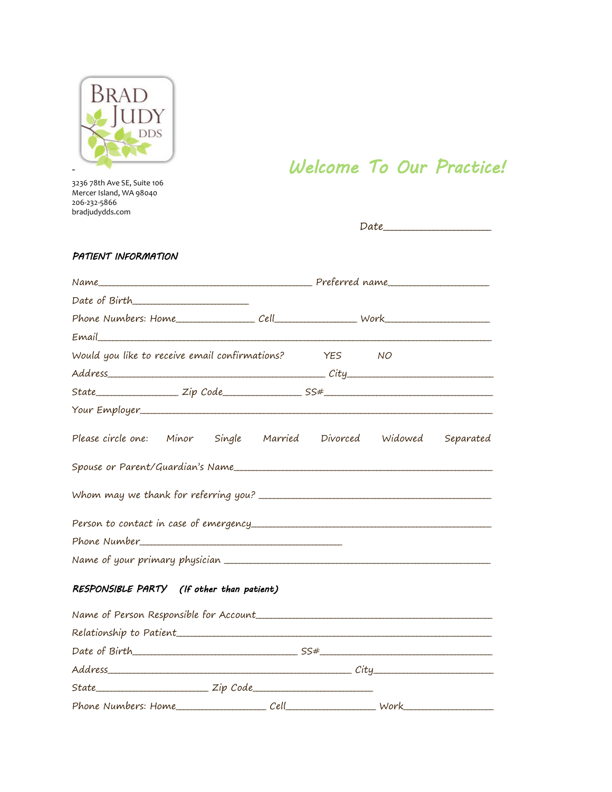

Welcome To Our Practice!

 $Date$ 

## PATIENT INFORMATION

 $State$ 

| Email                                                              |  |  |            |                |  |
|--------------------------------------------------------------------|--|--|------------|----------------|--|
| Would you like to receive email confirmations?                     |  |  | <b>YES</b> | NO <sub></sub> |  |
|                                                                    |  |  |            |                |  |
|                                                                    |  |  |            |                |  |
|                                                                    |  |  |            |                |  |
| Please circle one: Minor Single Married Divorced Widowed Separated |  |  |            |                |  |
|                                                                    |  |  |            |                |  |
|                                                                    |  |  |            |                |  |
|                                                                    |  |  |            |                |  |
| Phone Number                                                       |  |  |            |                |  |
|                                                                    |  |  |            |                |  |
| RESPONSIBLE PARTY (If other than patient)                          |  |  |            |                |  |
|                                                                    |  |  |            |                |  |
|                                                                    |  |  |            |                |  |
|                                                                    |  |  |            |                |  |
|                                                                    |  |  |            |                |  |

 $\frac{z}{ip \text{ Code}}$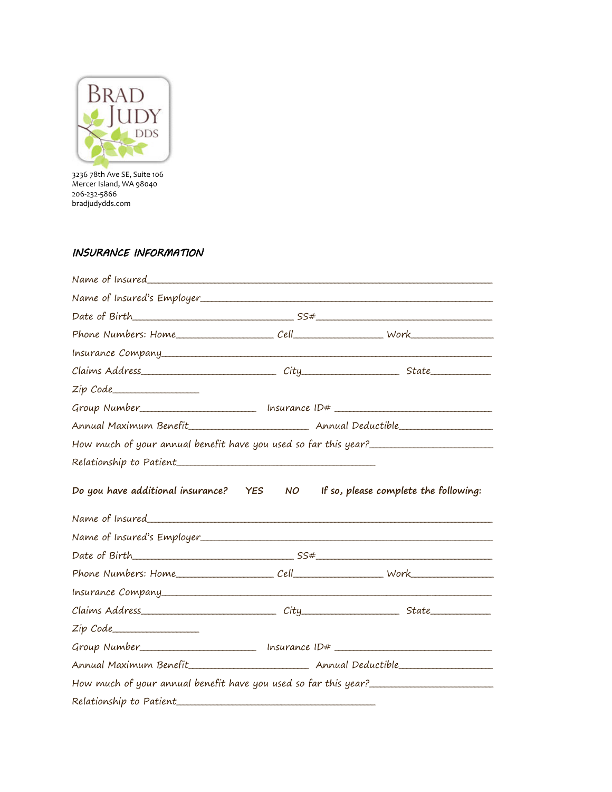

# INSURANCE INFORMATION

| Zip Code                                                                                |    |                                       |  |
|-----------------------------------------------------------------------------------------|----|---------------------------------------|--|
|                                                                                         |    |                                       |  |
|                                                                                         |    |                                       |  |
| How much of your annual benefit have you used so far this year?________________________ |    |                                       |  |
|                                                                                         |    |                                       |  |
| Do you have additional insurance? YES                                                   | NO | If so, please complete the following: |  |
|                                                                                         |    |                                       |  |
|                                                                                         |    |                                       |  |
|                                                                                         |    |                                       |  |
|                                                                                         |    |                                       |  |
|                                                                                         |    |                                       |  |
| Zip Code                                                                                |    |                                       |  |
| Group Number_____________________________ Insurance ID# ________________________        |    |                                       |  |
|                                                                                         |    |                                       |  |
| How much of your annual benefit have you used so far this year?________________________ |    |                                       |  |
| Relationship to Patient                                                                 |    |                                       |  |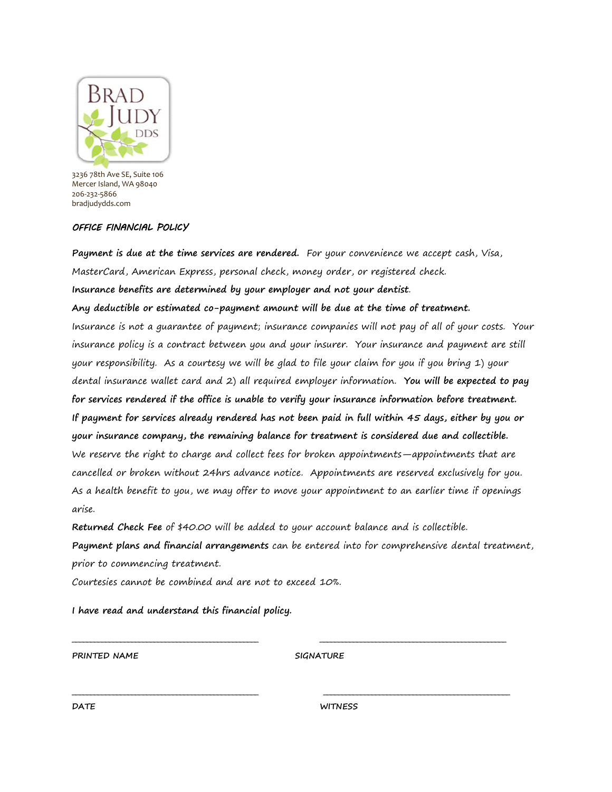

## OFFICE FINANCIAL POLICY

**Payment is due at the time services are rendered.** For your convenience we accept cash, Visa, MasterCard, American Express, personal check, money order, or registered check.

**Insurance benefits are determined by your employer and not your dentist**.

**Any deductible or estimated co-payment amount will be due at the time of treatment.** 

Insurance is not a guarantee of payment; insurance companies will not pay of all of your costs. Your insurance policy is a contract between you and your insurer. Your insurance and payment are still your responsibility. As a courtesy we will be glad to file your claim for you if you bring 1) your dental insurance wallet card and 2) all required employer information. **You will be expected to pay for services rendered if the office is unable to verify your insurance information before treatment. If payment for services already rendered has not been paid in full within 45 days, either by you or your insurance company, the remaining balance for treatment is considered due and collectible.** We reserve the right to charge and collect fees for broken appointments—appointments that are cancelled or broken without 24hrs advance notice. Appointments are reserved exclusively for you. As a health benefit to you, we may offer to move your appointment to an earlier time if openings arise.

**Returned Check Fee** of \$40.00 will be added to your account balance and is collectible.

**Payment plans and financial arrangements** can be entered into for comprehensive dental treatment, prior to commencing treatment.

**\_\_\_\_\_\_\_\_\_\_\_\_\_\_\_\_\_\_\_\_\_\_\_\_\_\_\_\_\_\_\_\_\_\_\_\_\_\_\_\_\_\_\_\_\_\_\_\_\_\_ \_\_\_\_\_\_\_\_\_\_\_\_\_\_\_\_\_\_\_\_\_\_\_\_\_\_\_\_\_\_\_\_\_\_\_\_\_\_\_\_\_\_\_\_\_\_\_\_\_\_** 

**\_\_\_\_\_\_\_\_\_\_\_\_\_\_\_\_\_\_\_\_\_\_\_\_\_\_\_\_\_\_\_\_\_\_\_\_\_\_\_\_\_\_\_\_\_\_\_\_\_\_ \_\_\_\_\_\_\_\_\_\_\_\_\_\_\_\_\_\_\_\_\_\_\_\_\_\_\_\_\_\_\_\_\_\_\_\_\_\_\_\_\_\_\_\_\_\_\_\_\_\_** 

Courtesies cannot be combined and are not to exceed 10%.

**I have read and understand this financial policy.** 

**SIGNATURE** 

**DATE WITNESS**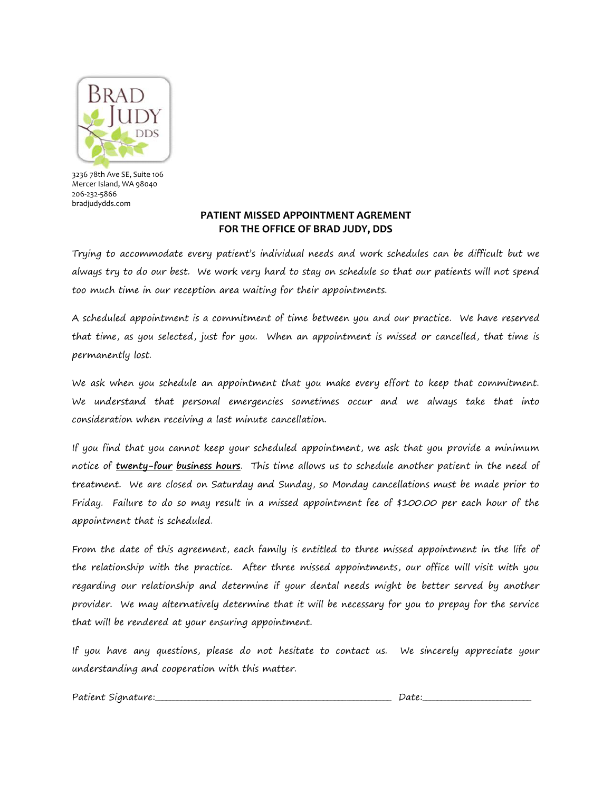

## **PATIENT MISSED APPOINTMENT AGREMENT FOR THE OFFICE OF BRAD JUDY, DDS**

Trying to accommodate every patient's individual needs and work schedules can be difficult but we always try to do our best. We work very hard to stay on schedule so that our patients will not spend too much time in our reception area waiting for their appointments.

A scheduled appointment is a commitment of time between you and our practice. We have reserved that time, as you selected, just for you. When an appointment is missed or cancelled, that time is permanently lost.

We ask when you schedule an appointment that you make every effort to keep that commitment. We understand that personal emergencies sometimes occur and we always take that into consideration when receiving a last minute cancellation.

If you find that you cannot keep your scheduled appointment, we ask that you provide a minimum notice of **twenty-four business hours**. This time allows us to schedule another patient in the need of treatment. We are closed on Saturday and Sunday, so Monday cancellations must be made prior to Friday. Failure to do so may result in a missed appointment fee of \$100.00 per each hour of the appointment that is scheduled.

From the date of this agreement, each family is entitled to three missed appointment in the life of the relationship with the practice. After three missed appointments, our office will visit with you regarding our relationship and determine if your dental needs might be better served by another provider. We may alternatively determine that it will be necessary for you to prepay for the service that will be rendered at your ensuring appointment.

If you have any questions, please do not hesitate to contact us. We sincerely appreciate your understanding and cooperation with this matter.

Patient Signature:\_\_\_\_\_\_\_\_\_\_\_\_\_\_\_\_\_\_\_\_\_\_\_\_\_\_\_\_\_\_\_\_\_\_\_\_\_\_\_\_\_\_\_\_\_\_\_\_\_\_\_\_\_\_\_\_\_\_\_\_\_\_\_ Date:\_\_\_\_\_\_\_\_\_\_\_\_\_\_\_\_\_\_\_\_\_\_\_\_\_\_\_\_\_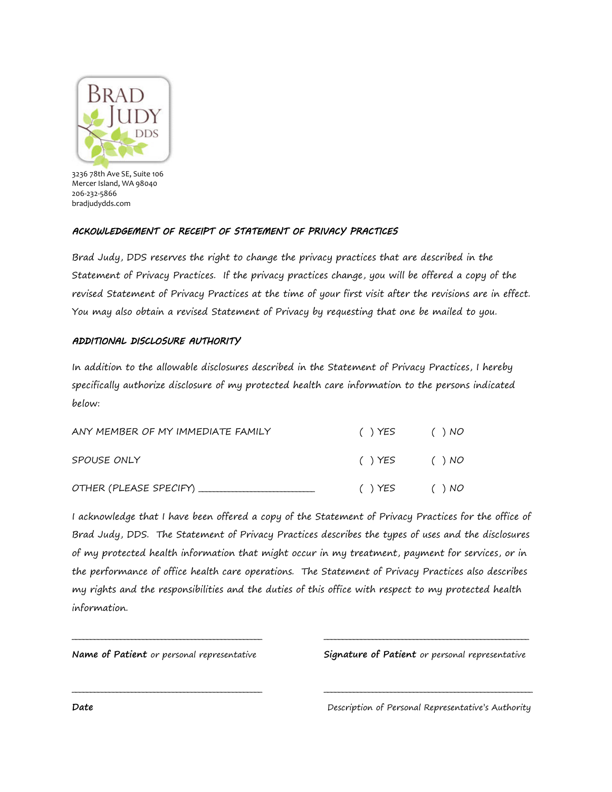

## ACKOWLEDGEMENT OF RECEIPT OF STATEMENT OF PRIVACY PRACTICES

Brad Judy, DDS reserves the right to change the privacy practices that are described in the Statement of Privacy Practices. If the privacy practices change, you will be offered a copy of the revised Statement of Privacy Practices at the time of your first visit after the revisions are in effect. You may also obtain a revised Statement of Privacy by requesting that one be mailed to you.

## ADDITIONAL DISCLOSURE AUTHORITY

In addition to the allowable disclosures described in the Statement of Privacy Practices, I hereby specifically authorize disclosure of my protected health care information to the persons indicated below:

| ANY MEMBER OF MY IMMEDIATE FAMILY | () YES       | ( ) NO |
|-----------------------------------|--------------|--------|
| SPOUSE ONLY                       | () YES () NO |        |
|                                   | () YES       | ( ) NO |

I acknowledge that I have been offered a copy of the Statement of Privacy Practices for the office of Brad Judy, DDS. The Statement of Privacy Practices describes the types of uses and the disclosures of my protected health information that might occur in my treatment, payment for services, or in the performance of office health care operations. The Statement of Privacy Practices also describes my rights and the responsibilities and the duties of this office with respect to my protected health information.

**\_\_\_\_\_\_\_\_\_\_\_\_\_\_\_\_\_\_\_\_\_\_\_\_\_\_\_\_\_\_\_\_\_\_\_\_\_\_\_\_\_\_\_\_\_\_\_\_\_\_\_ \_\_\_\_\_\_\_\_\_\_\_\_\_\_\_\_\_\_\_\_\_\_\_\_\_\_\_\_\_\_\_\_\_\_\_\_\_\_\_\_\_\_\_\_\_\_\_\_\_\_\_\_\_\_\_** 

**\_\_\_\_\_\_\_\_\_\_\_\_\_\_\_\_\_\_\_\_\_\_\_\_\_\_\_\_\_\_\_\_\_\_\_\_\_\_\_\_\_\_\_\_\_\_\_\_\_\_\_ \_\_\_\_\_\_\_\_\_\_\_\_\_\_\_\_\_\_\_\_\_\_\_\_\_\_\_\_\_\_\_\_\_\_\_\_\_\_\_\_\_\_\_\_\_\_\_\_\_\_\_\_\_\_\_\_** 

**Name of Patient** or personal representative **Signature of Patient** or personal representative

**Date Description of Personal Representative's Authority**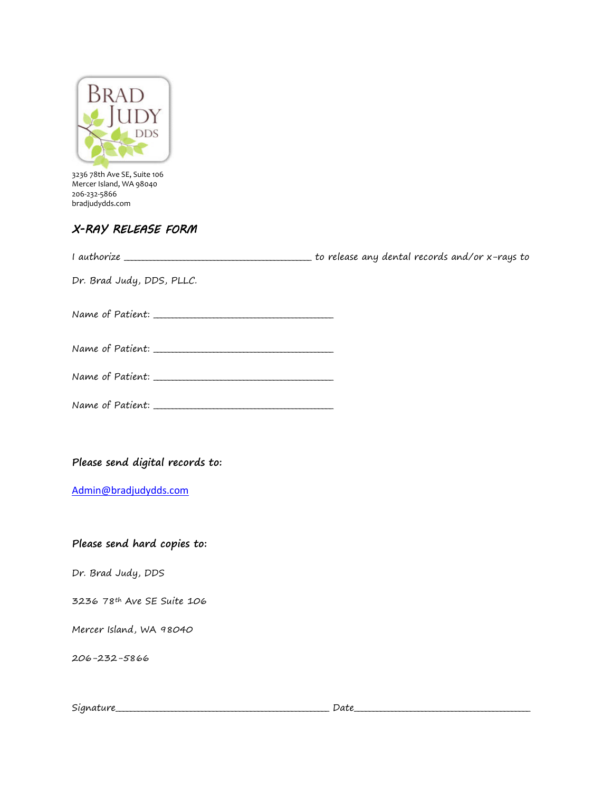

# X-RAY RELEASE FORM

| Dr. Brad Judy, DDS, PLLC.       |  |
|---------------------------------|--|
|                                 |  |
|                                 |  |
|                                 |  |
|                                 |  |
|                                 |  |
| Please send digital records to: |  |

[Admin@bradjudydds.com](mailto:Admin@bradjudydds.com) 

# **Please send hard copies to:**

Dr. Brad Judy, DDS

3236 78th Ave SE Suite 106

Mercer Island, WA 98040

206-232-5866

| <u>.</u><br>$0+1100$<br>Sian<br><br>$\cdots$ | $\sim$<br>ישוט |
|----------------------------------------------|----------------|
|----------------------------------------------|----------------|